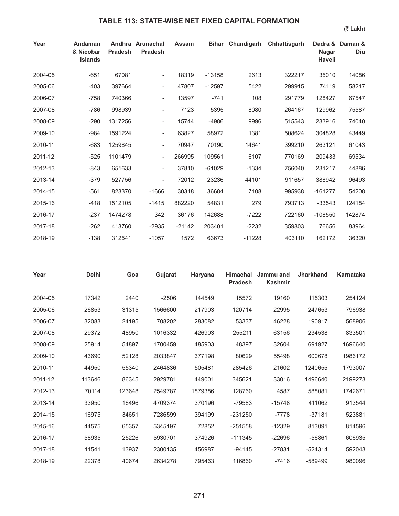## **TABLE 113: STATE-WISE NET FIXED CAPITAL FORMATION**

(₹ Lakh)

| Year    | Andaman<br>& Nicobar<br><b>Islands</b> | <b>Pradesh</b> | Andhra Arunachal<br><b>Pradesh</b> | Assam    |          | Bihar Chandigarh | Chhattisgarh | <b>Nagar</b><br>Haveli | Dadra & Daman &<br>Diu |
|---------|----------------------------------------|----------------|------------------------------------|----------|----------|------------------|--------------|------------------------|------------------------|
| 2004-05 | $-651$                                 | 67081          | $\overline{\phantom{a}}$           | 18319    | $-13158$ | 2613             | 322217       | 35010                  | 14086                  |
| 2005-06 | $-403$                                 | 397664         | $\overline{\phantom{a}}$           | 47807    | $-12597$ | 5422             | 299915       | 74119                  | 58217                  |
| 2006-07 | $-758$                                 | 740366         | $\overline{\phantom{a}}$           | 13597    | $-741$   | 108              | 291779       | 128427                 | 67547                  |
| 2007-08 | $-786$                                 | 998939         | $\overline{\phantom{a}}$           | 7123     | 5395     | 8080             | 264167       | 129962                 | 75587                  |
| 2008-09 | $-290$                                 | 1317256        | $\overline{\phantom{a}}$           | 15744    | $-4986$  | 9996             | 515543       | 233916                 | 74040                  |
| 2009-10 | $-984$                                 | 1591224        | $\overline{\phantom{a}}$           | 63827    | 58972    | 1381             | 508624       | 304828                 | 43449                  |
| 2010-11 | $-683$                                 | 1259845        | $\overline{\phantom{a}}$           | 70947    | 70190    | 14641            | 399210       | 263121                 | 61043                  |
| 2011-12 | $-525$                                 | 1101479        | $\overline{\phantom{a}}$           | 266995   | 109561   | 6107             | 770169       | 209433                 | 69534                  |
| 2012-13 | $-843$                                 | 651633         | $\overline{\phantom{a}}$           | 37810    | $-61029$ | $-1334$          | 756040       | 231217                 | 44886                  |
| 2013-14 | $-379$                                 | 527756         | $\overline{\phantom{a}}$           | 72012    | 23236    | 44101            | 911657       | 388942                 | 96493                  |
| 2014-15 | $-561$                                 | 823370         | $-1666$                            | 30318    | 36684    | 7108             | 995938       | $-161277$              | 54208                  |
| 2015-16 | $-418$                                 | 1512105        | $-1415$                            | 882220   | 54831    | 279              | 793713       | $-33543$               | 124184                 |
| 2016-17 | $-237$                                 | 1474278        | 342                                | 36176    | 142688   | $-7222$          | 722160       | $-108550$              | 142874                 |
| 2017-18 | $-262$                                 | 413760         | $-2935$                            | $-21142$ | 203401   | $-2232$          | 359803       | 76656                  | 83964                  |
| 2018-19 | $-138$                                 | 312541         | $-1057$                            | 1572     | 63673    | $-11228$         | 403110       | 162172                 | 36320                  |

| Year    | <b>Delhi</b> | Goa    | Gujarat | Haryana | <b>Himachal</b><br><b>Pradesh</b> | Jammu and<br><b>Kashmir</b> | <b>Jharkhand</b> | <b>Karnataka</b> |
|---------|--------------|--------|---------|---------|-----------------------------------|-----------------------------|------------------|------------------|
| 2004-05 | 17342        | 2440   | $-2506$ | 144549  | 15572                             | 19160                       | 115303           | 254124           |
| 2005-06 | 26853        | 31315  | 1566600 | 217903  | 120714                            | 22995                       | 247653           | 796938           |
| 2006-07 | 32083        | 24195  | 708202  | 283082  | 53337                             | 46228                       | 190917           | 568906           |
| 2007-08 | 29372        | 48950  | 1016332 | 426903  | 255211                            | 63156                       | 234538           | 833501           |
| 2008-09 | 25914        | 54897  | 1700459 | 485903  | 48397                             | 32604                       | 691927           | 1696640          |
| 2009-10 | 43690        | 52128  | 2033847 | 377198  | 80629                             | 55498                       | 600678           | 1986172          |
| 2010-11 | 44950        | 55340  | 2464836 | 505481  | 285426                            | 21602                       | 1240655          | 1793007          |
| 2011-12 | 113646       | 86345  | 2929781 | 449001  | 345621                            | 33016                       | 1496640          | 2199273          |
| 2012-13 | 70114        | 123648 | 2549787 | 1879386 | 128760                            | 4587                        | 588081           | 1742671          |
| 2013-14 | 33950        | 16496  | 4709374 | 370196  | -79583                            | $-15748$                    | 411062           | 913544           |
| 2014-15 | 16975        | 34651  | 7286599 | 394199  | $-231250$                         | $-7778$                     | $-37181$         | 523881           |
| 2015-16 | 44575        | 65357  | 5345197 | 72852   | $-251558$                         | $-12329$                    | 813091           | 814596           |
| 2016-17 | 58935        | 25226  | 5930701 | 374926  | $-111345$                         | $-22696$                    | $-56861$         | 606935           |
| 2017-18 | 11541        | 13937  | 2300135 | 456987  | $-94145$                          | $-27831$                    | $-524314$        | 592043           |
| 2018-19 | 22378        | 40674  | 2634278 | 795463  | 116860                            | $-7416$                     | -589499          | 980096           |